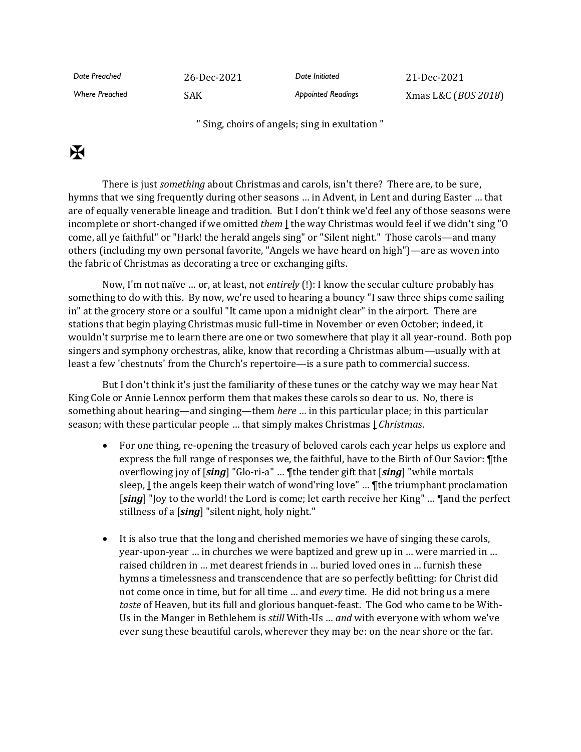*Date Preached* 26-Dec-2021 *Date Initiated* 21-Dec-2021 *Where Preached* SAK *Appointed Readings* Xmas L&C (*BOS 2018*)

" Sing, choirs of angels; sing in exultation "

## $\mathbf H$

There is just *something* about Christmas and carols, isn't there? There are, to be sure, hymns that we sing frequently during other seasons … in Advent, in Lent and during Easter … that are of equally venerable lineage and tradition. But I don't think we'd feel any of those seasons were incomplete or short-changed if we omitted *them* **|** the way Christmas would feel if we didn't sing "O come, all ye faithful" or "Hark! the herald angels sing" or "Silent night." Those carols—and many others (including my own personal favorite, "Angels we have heard on high")—are as woven into the fabric of Christmas as decorating a tree or exchanging gifts.

Now, I'm not naïve … or, at least, not *entirely* (!): I know the secular culture probably has something to do with this. By now, we're used to hearing a bouncy "I saw three ships come sailing in" at the grocery store or a soulful "It came upon a midnight clear" in the airport. There are stations that begin playing Christmas music full-time in November or even October; indeed, it wouldn't surprise me to learn there are one or two somewhere that play it all year-round. Both pop singers and symphony orchestras, alike, know that recording a Christmas album—usually with at least a few 'chestnuts' from the Church's repertoire—is a sure path to commercial success.

But I don't think it's just the familiarity of these tunes or the catchy way we may hear Nat King Cole or Annie Lennox perform them that makes these carols so dear to us. No, there is something about hearing—and singing—them *here* … in this particular place; in this particular season; with these particular people … that simply makes Christmas **|** *Christmas*.

- For one thing, re-opening the treasury of beloved carols each year helps us explore and express the full range of responses we, the faithful, have to the Birth of Our Savior: ¶the overflowing joy of [*sing*] "Glo-ri-a" … ¶the tender gift that [*sing*] "while mortals sleep, **|** the angels keep their watch of wond'ring love" … ¶the triumphant proclamation [*sing*] "Joy to the world! the Lord is come; let earth receive her King" … ¶and the perfect stillness of a [*sing*] "silent night, holy night."
- It is also true that the long and cherished memories we have of singing these carols, year-upon-year … in churches we were baptized and grew up in … were married in … raised children in … met dearest friends in … buried loved ones in … furnish these hymns a timelessness and transcendence that are so perfectly befitting: for Christ did not come once in time, but for all time … and *every* time. He did not bring us a mere *taste* of Heaven, but its full and glorious banquet-feast. The God who came to be With-Us in the Manger in Bethlehem is *still* With-Us … *and* with everyone with whom we've ever sung these beautiful carols, wherever they may be: on the near shore or the far.